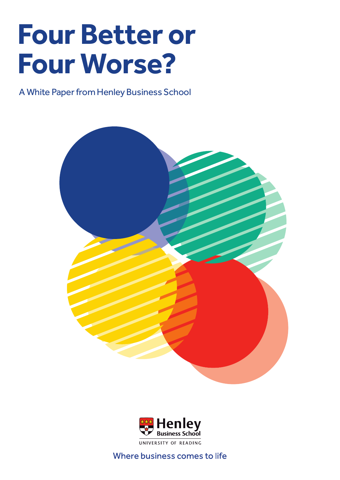# **Four Better or Four Worse?**

A White Paper from Henley Business School





Where business comes to life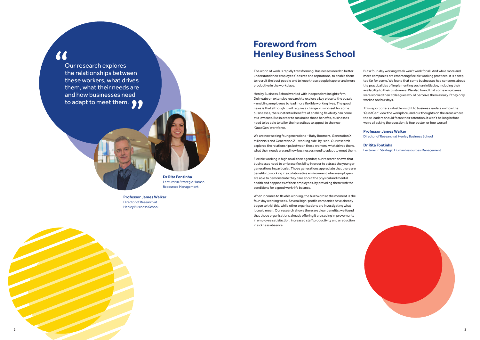

But a four-day working week won't work for all. And while more and more companies are embracing flexible working practices, it is a step too far for some. We found that some businesses had concerns about the practicalities of implementing such an initiative, including their availability to their customers. We also found that some employees were worried their colleagues would perceive them as lazy if they only worked on four days.

This report offers valuable insight to business leaders on how the 'QuadGen' view the workplace, and our thoughts on the areas where those leaders should focus their attention. It won't be long before we're all asking the question: is four better, or four worse?

#### **Professor James Walker** Director of Research at Henley Business School

Henley Business School worked with independent insights firm Delineate on extensive research to explore a key piece to the puzzle - enabling employees to lead more flexible working lives. The good news is that although it will require a change in mind-set for some businesses, the substantial benefits of enabling flexibility can come at a low cost. But in order to maximise those benefits, businesses need to be able to tailor their practices to appeal to the new 'QuadGen' workforce.

> **Dr Rita Fontinha** Lecturer in Strategic Human Resources Management



### **Foreword from Henley Business School**

We are now seeing four generations – Baby Boomers, Generation X, Millennials and Generation Z - working side-by-side. Our research explores the relationships between these workers, what drives them, what their needs are and how businesses need to adapt to meet them.

The world of work is rapidly transforming. Businesses need to better understand their employees' desires and aspirations, to enable them to recruit the best people and to keep those people happier and more productive in the workplace.

### "

When it comes to flexible working, the buzzword at the moment is the four-day working week. Several high-profile companies have already begun to trial this, while other organisations are investigating what it could mean. Our research shows there are clear benefits: we found that those organisations already offering it are seeing improvements in employee satisfaction, increased staff productivity and a reduction in sickness absence.

Our research explores the relationships between these workers, what drives them, what their needs are and how businesses need to adapt to meet them.  $\bullet \bullet$ 



Flexible working is high on all their agendas; our research shows that businesses need to embrace flexibility in order to attract the younger generations in particular. Those generations appreciate that there are benefits to working in a collaborative environment where employers are able to demonstrate they care about the physical and mental health and happiness of their employees, by providing them with the conditions for a good work-life balance.

**Professor James Walker** Director of Research at Henley Business School

**Dr Rita Fontinha** Lecturer in Strategic Human Resources Management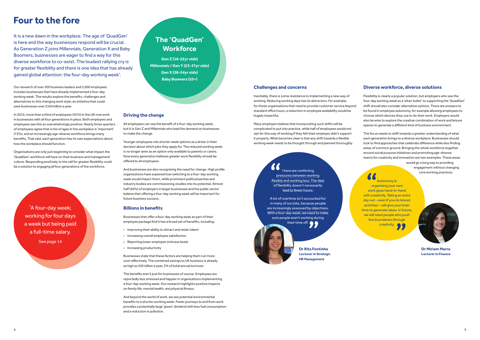### **Four to the fore**

Our research of over 500 business leaders and 2,000 employees includes businesses that have already implemented a four-day working week. The results explore the benefits, challenges and alternatives to this changing work style, an initiative that could save businesses over £104 billion a year.

In 2019, more than a third of employees (35%) in the UK now work in businesses with all four generations in place. Both employers and employees see this as overwhelmingly positive. Nearly three quarters of employees agree that a mix of ages in the workplace is 'important' (73%), and an increasingly age-diverse workforce brings many benefits. That said, each generation has its own expectations about how the workplace should function.

Organisations are only just beginning to consider what impact the 'QuadGen' workforce will have on their business and management culture. Responding positively to the call for greater flexibility could be a solution to engaging all four generations of the workforce.

Flexibility is clearly a popular solution, but employers who see the four-day working week as a 'silver bullet' to supporting the 'QuadGen' shift should also consider alternative options. There are answers to be found in employee autonomy, for example allowing employees to choose which devices they use to do their work. Employers would also be wise to explore the creative combination of work and leisure spaces to generate a different kind of business environment.

\* A four-day week; working for four days a week but being paid a full-time salary. See page 14

### **The 'QuadGen' Workforce**

**Gen Z (16-22yr olds) Millennials / Gen Y (23-37yr olds) Gen X (38-54yr olds) Baby Boomers (55+)**

> The focus needs to shift towards a greater understanding of what each generation brings to a diverse workplace. Businesses should look to find approaches that celebrate difference while also finding areas of common ground. Bringing the whole workforce together around social purpose initiatives and promoting age-diverse teams for creativity and innovation are two examples. These areas would go a long way to providing engagement without changing core working practices. 66

### **Challenges and concerns**

Inevitably, there is some resistance to implementing a new way of working. Reducing working days has its detractors. For example, for those organisations that need to provide customer service beyond standard office hours, a reduction in employee availability would be hugely impactful.

> $\alpha$ There are conflicting pressures between working flexibly and working less. The ideal of flexibility doesn't necessarily lead to fewer hours.

A lot of overtime isn't accounted for in many of our jobs, because people are increasingly assessed by objectives. With a four-day week, we need to make sure people aren't working during their time off.



Many employers believe that incorporating such shifts will be complicated to put into practice, while half of employees would not opt for this way of working if they felt their employer didn't support it properly. What becomes clear is that any shift towards a flexible working week needs to be thought through and planned thoroughly.

All employees can see the benefit of a four-day working week, but it is Gen Z and Millennials who lead the demand on businesses to make the change.

Younger employees cite shorter week options as a driver in their decision about which jobs they apply for. The reduced working week is no longer seen as an option only available to parents or carers. Now every generation believes greater work flexibility should be offered to all employees.

#### **Diverse workforce, diverse solutions**

And businesses are also recognising the need for change. High profile organisations have explored how switching to a four-day working week would impact them, while prominent political parties and industry bodies are commissioning studies into its potential. Almost half (46%) of employers in larger businesses and the public sector believe that offering a four-day working week will be important for future business success.

### **Billions in benefits**

Businesses that offer a four-day working week as part of their employee package find it has a broad set of benefits, including:

> **Dr Rita Fontinha Lecturer in Strategic HR Management**

**Dr Miriam Marra Lecturer in Finance**

Autonomy in organising your own work goes hand-in-hand with creativity. Taking an extra day out - even if you do leisure activities - will give your brain time to generate ideas. In future, we will need people who push the boundaries through creativity.



### **Driving the change**

- Improving their ability to attract and retain talent
- Increasing overall employee satisfaction
- Reporting lower employee sickness levels
- Increasing productivity

Businesses state that these factors are helping them run more cost-effectively. The combined savings to UK business is already as high as £92 billion a year, 2% of total annual turnover.

The benefits aren't just for businesses of course. Employees are reportedly less stressed and happier in organisations implementing a four-day working week. Our research highlights positive impacts on family life, mental health, and physical fitness.

And beyond the world of work, we see potential environmental benefits to a shorter working week. Fewer journeys to and from work provides a potentially large 'green' dividend with less fuel consumption and a reduction in pollution.

It is a new dawn in the workplace. The age of 'QuadGen' is here and the way businesses respond will be crucial. As Generation Z joins Millennials, Generation X and Baby Boomers, businesses are eager to find a way for this diverse workforce to co-exist. The loudest rallying cry is for greater flexibility and there is one idea that has already gained global attention: the four-day working week\* .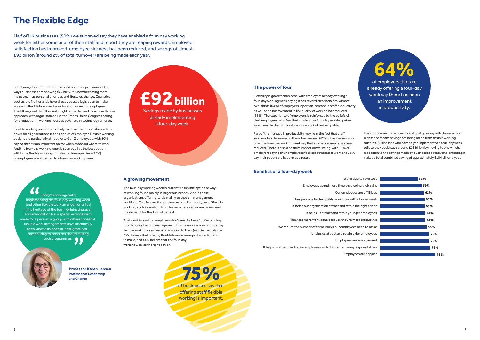## **The Flexible Edge**

Half of UK businesses (50%) we surveyed say they have enabled a four-day working week for either some or all of their staff and report they are reaping rewards. Employee satisfaction has improved, employee sickness has been reduced, and savings of almost £92 billion (around 2% of total turnover) are being made each year.

Today's challenge with implementing the four-day working week and other flexible work arrangements lies in the heritage of the term. Originating as an accommodation (i.e. a special arrangement made for a person or group with different needs), flexible work arrangements have historically been viewed as 'special' or stigmatised – contributing to concerns about utilising such programmes.

## **£92 billion**

Savings made by businesses already implementing a four-day week.

> of businesses say that **75%** offering staff flexible working is important.

## **64%**

of employers that are already offering a four-day week say there has been an improvement in productivity.

**Professor Karen Jansen Professor of Leadership and Change**

Flexibility is good for business, with employers already offering a four-day working week saying it has several clear benefits. Almost two-thirds (64%) of employers report an increase in staff productivity as well as an improvement in the quality of work being produced (63%). The experience of employers is reinforced by the beliefs of their employees, who feel that moving to a four-day working pattern would enable them to produce more work of better quality.

Part of the increase in productivity may lie in the fact that staff sickness has decreased in these businesses. 62% of businesses who offer the four-day working week say that sickness absence has been reduced. There is also a positive impact on wellbeing, with 70% of employers saying their employees feel less stressed at work and 78% say their people are happier as a result.

### **Benefits of a four-day week**

### **The power of four**

The improvement in efficiency and quality, along with the reduction in absence means savings are being made from flexible working patterns. Businesses who haven't yet implemented a four-day week believe they could save around £12 billion by moving to one which, in addition to the savings made by businesses already implementing it, makes a total combined saving of approximately £104 billion a year.

That's not to say that employers don't see the benefit of extending this flexibility beyond management. Businesses are now considering flexible working as a means of adapting to the 'QuadGen' workforce. 75% believe that offering flexible hours is an important adaptation to make, and 44% believe that the four-day working week is the right option.

Job sharing, flexitime and compressed hours are just some of the ways businesses are showing flexibility. It is now becoming more mainstream as personal priorities and lifestyles change. Countries such as the Netherlands have already passed legislation to make access to flexible hours and work location easier for employees. The UK may wish to follow suit in light of the demand for a more flexible approach, with organisations like the Trades Union Congress calling for a reduction in working hours as advances in technology emerge.

### **A growing movement**

The four-day working week is currently a flexible option or way of working found mainly in larger businesses. And in those organisations offering it, it is mainly to those in management positions. This follows the patterns we see in other types of flexible working, such as working from home, where senior managers lead the demand for this kind of benefit.

Flexible working policies are clearly an attractive proposition, a firm driver for all generations in their choice of employer. Flexible working options are particularly attractive to Gen Z employees, with 80% saying that it is an important factor when choosing where to work. And the four-day working week is seen by all as the best option within the flexible working mix. Nearly three-quarters (72%) of employees are attracted to a four-day working week.

> We're able to save cost Employees spend more time developing their skills Our employees are off ill less They produce better quality work than with a longer week It helps our organisation attract and retain the right talent It helps us attract and retain younger employees They get more work done because they're more productive We reduce the number of car journeys our employees need to make It helps us attract and retain older employees Employees are less stressed Employees are happier

- 
- - -
- It helps us attract and retain employees with children or caring responsibilities

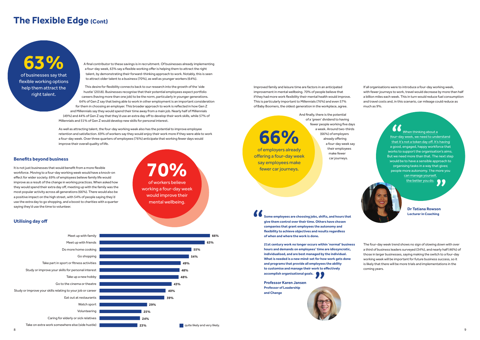If all organisations were to introduce a four-day working week, with fewer journeys to work, travel would decrease by more than half a billion miles each week. This in turn would reduce fuel consumption and travel costs and, in this scenario, car mileage could reduce as much as 9%.

fewer car journeys.

It is not just businesses that would benefit from a more flexible workforce. Moving to a four-day working week would have a knock-on effect for wider society. 69% of employees believe family life would improve as a result of the change in working practices. When asked how they would spend their extra day off, meeting up with the family was the most popular activity across all generations (66%). There would also be a positive impact on the high street, with 54% of people saying they'd use the extra day to go shopping, and a boost to charities with a quarter saying they'd use the time to volunteer.

When thinking about a four-day week, we need to understand that it's not a token day off. It's having a good, engaged, happy workforce that works to support the organisation's aims. But we need more than that. The next step would be to have a sensible approach to organising tasks in a way that gives people more autonomy. The more you can manage yourself, the better you do.  $\bullet$ 

of employers already **66%** offering a four-day week say employees make And finally, there is the potential of a 'green' dividend to having fewer people working five days a week. Around two-thirds (66%) of employers already offering a four-day week say their employees make fewer car journeys.

A final contributor to these savings is in recruitment. Of businesses already implementing a four-day week, 63% say a flexible working offer is helping them to attract the right talent, by demonstrating their forward-thinking approach to work. Notably, this is seen to attract older talent to a business (70%), as well as younger workers (64%).

> Improved family and leisure time are factors in an anticipated improvement in mental wellbeing. 70% of people believe that if they had more work flexibility their mental health would improve. This is particularly important to Millennials (76%) and even 57% of Baby Boomers, the oldest generation in the workplace, agree.

This desire for flexibility connects back to our research into the growth of the 'side hustle' (2018). Businesses recognise that their potential employees expect portfolio careers (having more than one job) to be the norm, particularly in younger generations. 64% of Gen Z say that being able to work in other employment is an important consideration for them in choosing an employer. This broader approach to work is reflected in how Gen Z and Millennials say they would spend their time away from a main job. Nearly half of Millennials (49%) and 44% of Gen Z say that they'd use an extra day off to develop their work skills, while 57% of Millennials and 51% of Gen Z would develop new skills for personal interest.

> **Dr Tatiana Rowson Lecturer in Coaching**

As well as attracting talent, the four-day working week also has the potential to improve employee retention and satisfaction. 69% of workers say they would enjoy their work more if they were able to work a four-day week. Over three quarters of employees (76%) anticipate that working fewer days would improve their overall quality of life.

#### **Benefits beyond business**

### **The Flexible Edge (Cont)**

**63%**

of businesses say that flexible working options help them attract the right talent.



The four-day week trend shows no sign of slowing down with over a third of business leaders surveyed (34%), and nearly half (46%) of those in larger businesses, saying making the switch to a four-day working week will be important for future business success, so it is likely that there will be more trials and implementations in the coming years.

**Some employees are choosing jobs, shifts, and hours that give them control over their time. Others have chosen companies that grant employees the autonomy and � exibility to achieve objectives and results regardless of when and where the work is done.**

**21st century work no longer occurs within 'normal' business hours and demands on employees' time are idiosyncratic, individualised, and are best managed by the individual. What is needed is a new mind-set for how work gets done and programs that provide all employees the ability**  to customise and manage their work to effectively **accomplish organisational goals.**

**Professor Karen Jansen Professor of Leadership and Change**



**70%** of workers believe working a four-day week would improve their mental wellbeing.

### **Utilising day off**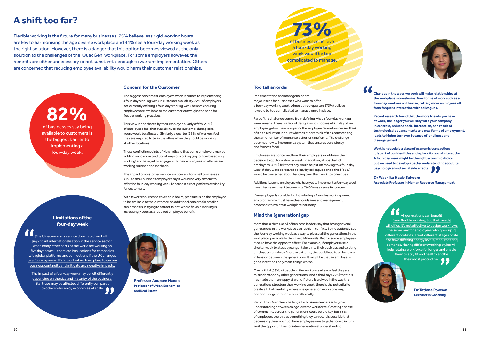## **A shift too far?**

Flexible working is the future for many businesses. 75% believe less rigid working hours are key to harmonising the age diverse workplace and 44% see a four-day working week as the right solution. However, there is a danger that this option becomes viewed as the only solution to the challenges of the 'QuadGen' workplace. For some employers however, the benefits are either unnecessary or not substantial enough to warrant implementation. Others are concerned that reducing employee availability would harm their customer relationships.

# **82%**

of businesses say being available to customers is the biggest barrier to implementing a four-day week.

The biggest concern for employers when it comes to implementing a four-day working week is customer availability. 82% of employers not currently offering a four-day working week believe ensuring employees are available to the customer outweighs the need for flexible working practices.

### **Limitations of the four-day week**

The UK economy is service dominated, and with significant internationalisation in the service sector, when many other parts of the world are working on five days a week, there are implications for companies with global platforms and connections if the UK changes to a four-day week. It's important we have plans to ensure business continuity and mitigate any negative impacts.

The impact of a four-day week may be felt differently depending on the size and maturity of the business. Start-ups may be affected differently compared to others who enjoy economies of scale. This view is not shared by their employees. Only a fifth (21%) of employees feel that availability to the customer during core hours would be affected. Similarly, a quarter (25%) of workers feel they are required to be in the office when they could be working at other locations.

These conflicting points of view indicate that some employers may be holding on to more traditional ways of working (e.g. office-based only working) and have yet to engage with their employees on alternative working routines and methods.

With fewer resources to cover core hours, pressure is on the employee to be available to the customer. An additional concern for smaller businesses is in trying to attract talent, where flexible working is increasingly seen as a required employee benefit.

### **Concern for the Customer**

Part of the challenge comes from defining what a four-day working week means. There is a lack of clarity in who chooses which day off an employee gets – the employer or the employee. Some businesses think of it as a reduction in hours whereas others think of it as compressing the same number of hours into a shorter timeframe. The challenge becomes how to implement a system that ensures consistency and fairness for all.

Additionally, some employers who have yet to implement a four-day week have cited resentment between staff (40%) as a cause for concern.

The impact on customer service is a concern for small businesses. 91% of small business employers say it would be very difficult to offer the four-day working week because it directly affects availability for customers.

**Work is not solely a place of economic transaction; it is part of our identities and a place for social interaction. A four-day week might be the right economic choice, but we need to develop a better understanding about its psychological and social side effects.** 



a four-day working week would be too complicated to manage.



**Professor Anupam Nanda Professor of Urban Economics and Real Estate** 

Over a third (39%) of people in the workplace already feel they are misunderstood by other generations. And a third say (33%) that this has made them unhappy at work. If there is a divide in the way the generations structure their working week, there is the potential to create a tribal mentality where one generation works one way, and another generation works differently.

### **Too tall an order**

Implementation and management are major issues for businesses who want to offer a four-day working week. Almost three-quarters (73%) believe it would be too complicated to manage once in place.

Employees are concerned how their employers would view their decision to opt for a shorter week. In addition, almost half of employees (45%) felt that they would be put off moving to a four-day week if they were perceived as lazy by colleagues and a third (35%) would be concerned about handing over their work to colleagues.

If an employer is considering introducing a four-day working week, any programme must have clear guidelines and management processes to maintain workplace harmony.

**Dr Washika Haak-Saheem Associate Professor in Human Resource Management**

> All generations can benefit from flexible working, but their needs will differ. It's not effective to design workflows the same way for employees who grew up in different contexts, are at different stages of life and have differing energy levels, resources and demands. Having different working styles will help retain a workforce for longer and enable them to stay fit and healthy and be their most productive.

**Changes in the ways we work will make relationships at the workplace more elusive. New forms of work such as a**  four-day week are on the rise, cutting more employees off **from frequent interaction with colleagues.** 

**Recent research found that the more friends you have at work, the longer you will stay with your company. In contrast, reduced social interaction, as a result of technological advancements and new forms of employment, leads to higher turnover because of loneliness and disengagement.** 

### **Mind the (generation) gap**

More than a third (38%) of business leaders say that having several generations in the workplace can result in conflict. Some evidently see the four-day working week as a way to please all the generations in the workplace, particularly Gen Z and Millennials. But for some employees it could have the opposite effect. For example, if employers use a shorter week to attract younger talent into their business and existing employees remain on five-day patterns, this could lead to an increase in tension between the generations. It might be that an employer's good intentions only make things worse.

Part of the 'QuadGen' challenge for business leaders is to grow understanding between an age-diverse workforce. Creating a sense of community across the generations could be the key, but 38% of employers see this as something they can do. It is possible that decreasing the amount of time employees are together could in turn limit the opportunities for inter-generational understanding.



**Dr Tatiana Rowson Lecturer in Coaching**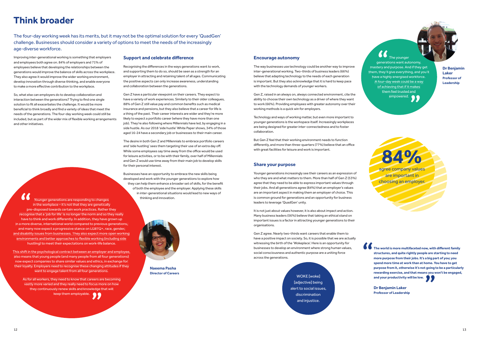### **Think broader**

Improving inter-generational working is something that employers and employees both agree on. 84% of employers and 71% of employees believe that developing the relationships between the generations would improve the balance of skills across the workplace. They also agree it would improve the wider working environment, develop innovation through diverse thinking, and enable everyone to make a more effective contribution to the workplace.

The four-day working week has its merits, but it may not be the optimal solution for every 'QuadGen' challenge. Businesses should consider a variety of options to meet the needs of the increasingly age-diverse workforce.

> Recognising the differences in the ways generations want to work, and supporting them to do so, should be seen as a strength for an employer in attracting and retaining talent of all ages. Communicating the positive aspects can only increase awareness, understanding and collaboration between the generations.

So, what else can employers do to develop collaboration and interaction between the generations? Trying to find one single solution to fit all exacerbates the challenge. It would be more beneficial to think broadly and find a variety of ideas that meet the needs of the generations. The four-day working week could still be included, but as part of the wider mix of flexible working arrangements and other initiatives.

Gen Z have a particular viewpoint on their careers. They expect to have a variety of work experiences. Similarly to their older colleagues, 88% of Gen Z still value pay and common benefits such as medical insurance and pensions, but they also believe that a career for life is a thing of the past. Their career interests are wider and they're more likely to expect a portfolio career (where they have more than one job). They're also following where Millennials have led, by engaging in a side hustle. As our 2018 'side hustle' White Paper shows, 34% of those aged 16-24 have a secondary job or businesses to their main career.

As for all workers, they need to know that careers are becoming vastly more varied and they really need to focus more on how they continuously renew skills and knowledge that will keep them employable.

### **Support and celebrate difference**

The desire in both Gen Z and Millennials to embrace portfolio careers and 'side hustling' sees them targeting their use of an extra day off. While some employees say time away from the office would be used for leisure activities, or to be with their family, over half of Millennials and Gen Z would use time away from their main job to develop skills for their personal interest.

But Gen Z feel that their working environment needs to function differently, and more than three-quarters (77%) believe that an office with great facilities for leisure and work is important.

The younger generations want autonomy, mastery and purpose. And if they get them, they'll give everything, and you'll have a highly energised workforce. A four-day week could be a way of achieving that if it makes them feel trusted and empowered.

Businesses have an opportunity to embrace the new skills being developed and work with the younger generations to explore how they can help them enhance a broader set of skills, for the benefit of both the employee and the employer. Applying these skills in inter-generational situations would lead to new ways of



thinking and innovation. Younger generations are responding to changes in the workplace - it's not that they are genetically pre-disposed towards certain work practices. Rather they recognise that a 'job for life' is no longer the norm and so they really have to think and work differently. In addition, they have grown up in a more diverse, international world compared to previous generations, and many now expect a progressive stance on LGBTQ+, race, gender, and disability issues from businesses. They also expect more open working environments and better approaches to flexible working (including side hustling) to meet their expectations on work-life balance.

> WOKE [woke] [adjective] being alert to social issues, discrimination and injustice.

This shift in the psychological contract between an employer and employee, also means that young people (and many people from all four generations) now expect companies to share similar values and ethics, in exchange for their loyalty. Employers need to recognise these changing attitudes if they want to engage talent from all four generations.

**Naeema Pasha Director of Careers**

### **Encourage autonomy**

The way businesses use technology could be another way to improve inter-generational working. Two-thirds of business leaders (66%) believe that adapting technology to the needs of each generation is important. But they also acknowledge that it is hard to keep pace with the technology demands of younger workers.

Gen Z, raised in an always on, always connected environment, cite the ability to choose their own technology as a driver of where they want to work (66%). Providing employees with greater autonomy over their working methods is a quick win for employers.

Technology and ways of working matter, but even more important to younger generations is the workspace itself. Increasingly workplaces are being designed for greater inter-connectedness and to foster collaboration.

**Dr Benjamin Laker Professor of Leadership** 

### **Share your purpose**

Younger generations increasingly see their careers as an expression of who they are and what matters to them. More than half of Gen Z (53%) agree that they need to be able to express important values through their jobs. And all generations agree (84%) that an employer's values are an important aspect in making them an employer of choice. This is common ground for generations and an opportunity for business leaders to leverage 'QuadGen' unity.

It is not just about values however, it is also about impact and action. Many business leaders (56%) believe that taking an ethical stand on important issues is a factor in attracting younger generations to their organisations.

Gen Z agree. Nearly two-thirds want careers that enable them to have a positive impact on society. So, it is possible that we are actually witnessing the birth of the 'Wokeplace'. Here is an opportunity for businesses to develop an environment where strong human values, social consciousness and authentic purpose are a uniting force across the generations.



**f f** The world is more multifaceted now, with different family **structures, and quite rightly people are starting to need more purpose from their jobs. It's a big part of you; you spend more time at work than at home. You have to get purpose from it, otherwise it's not going to be a particularly rewarding exercise, and that means you won't be engaged, and your productivity will be low.** 

**Dr Benjamin Laker Professor of Leadership**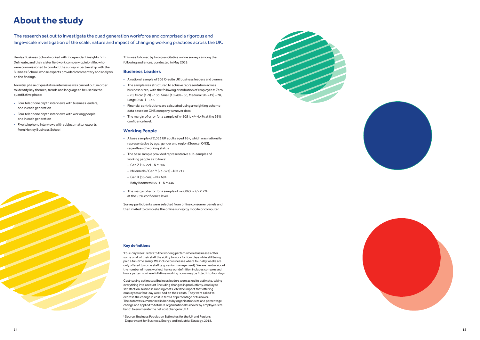

### **About the study**

The research set out to investigate the quad generation workforce and comprised a rigorous and large-scale investigation of the scale, nature and impact of changing working practices across the UK.

Henley Business School worked with independent insights firm Delineate, and their sister fieldwork company opinion.life, who were commissioned to conduct the survey in partnership with the Business School, whose experts provided commentary and analysis on the findings.

- A national sample of 505 C-suite UK business leaders and owners
- The sample was structured to achieve representation across business sizes, with the following distribution of employees: Zero – 70, Micro (1-9) – 133, Small (10-49) – 86, Medium (50-249) – 78, Large (250+) – 138
- Financial contributions are calculated using a weighting scheme data based on ONS company turnover data
- The margin of error for a sample of n=505 is +/- 4.4% at the 95% confidence level.

An initial phase of qualitative interviews was carried out, in order to identify key themes, trends and language to be used in the quantitative phase:

- A base sample of 2,063 UK adults aged 16+, which was nationally representative by age, gender and region (Source: ONS), regardless of working status
- The base sample provided representative sub-samples of working people as follows:
- Gen Z (16-22) N = 206
- Millennials / Gen Y (23-37s) N = 717
- $-$  Gen X (38-54s)  $-$  N = 694
- Baby Boomers (55+) N = 446
- The margin of error for a sample of n=2,063 is +/- 2.2% at the 95% confidence level
- Four telephone depth interviews with business leaders, one in each generation
- Four telephone depth interviews with working people, one in each generation
- Five telephone interviews with subject matter experts from Henley Business School

This was followed by two quantitative online surveys among the following audiences, conducted in May 2019:

#### **Business Leaders**

### **Working People**

Survey participants were selected from online consumer panels and then invited to complete the online survey by mobile or computer.

#### **Key definitions**

'Four-day week' refers to the working pattern where businesses offer some or all of their staff the ability to work for four days while still being paid a full-time salary. We include businesses where four-day weeks are only offered to some staff (e.g. senior management). We are neutral about the number of hours worked, hence our definition includes compressed hours patterns, where full-time working hours may be fitted into four days.

Cost-saving estimates: Business leaders were asked to estimate, taking everything into account (including changes in productivity, employee satisfaction, business running costs, etc) the impact that offering employees a four-day week had on their costs. They were asked to express the change in cost in terms of percentage of turnover. The data was summarised in bands by organisation size and percentage change and applied to total UK organisational turnover by employee size band 1 to enumerate the net cost change in UK£.

1 Source: Business Population Estimates for the UK and Regions, Department for Business, Energy and Industrial Strategy, 2018.